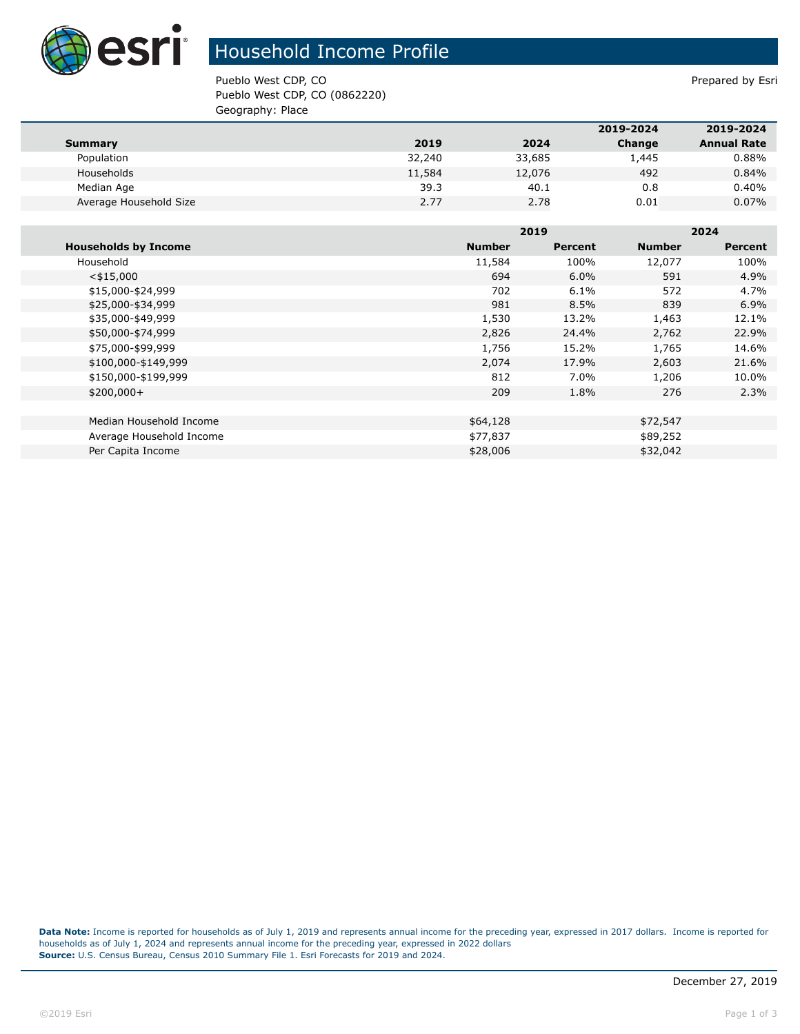

## Household Income Profile

Pueblo West CDP, CO **Prepared by Esri** Pueblo West CDP, CO (0862220) Geography: Place

|                        |        |        | 2019-2024 | 2019-2024          |
|------------------------|--------|--------|-----------|--------------------|
| Summary                | 2019   | 2024   | Change    | <b>Annual Rate</b> |
| Population             | 32,240 | 33,685 | 1,445     | $0.88\%$           |
| Households             | 11,584 | 12,076 | 492       | 0.84%              |
| Median Age             | 39.3   | 40.1   | 0.8       | 0.40%              |
| Average Household Size | 2.77   | 2.78   | 0.01      | $0.07\%$           |

|                             |               | 2019           |               | 2024           |  |
|-----------------------------|---------------|----------------|---------------|----------------|--|
| <b>Households by Income</b> | <b>Number</b> | <b>Percent</b> | <b>Number</b> | <b>Percent</b> |  |
| Household                   | 11,584        | 100%           | 12,077        | 100%           |  |
| $<$ \$15,000                | 694           | $6.0\%$        | 591           | 4.9%           |  |
| \$15,000-\$24,999           | 702           | 6.1%           | 572           | 4.7%           |  |
| \$25,000-\$34,999           | 981           | 8.5%           | 839           | 6.9%           |  |
| \$35,000-\$49,999           | 1,530         | 13.2%          | 1,463         | 12.1%          |  |
| \$50,000-\$74,999           | 2,826         | 24.4%          | 2,762         | 22.9%          |  |
| \$75,000-\$99,999           | 1,756         | 15.2%          | 1,765         | 14.6%          |  |
| \$100,000-\$149,999         | 2,074         | 17.9%          | 2,603         | 21.6%          |  |
| \$150,000-\$199,999         | 812           | 7.0%           | 1,206         | 10.0%          |  |
| $$200,000+$                 | 209           | 1.8%           | 276           | 2.3%           |  |
|                             |               |                |               |                |  |
| Median Household Income     | \$64,128      |                | \$72,547      |                |  |
| Average Household Income    | \$77,837      |                | \$89,252      |                |  |
| Per Capita Income           | \$28,006      |                | \$32,042      |                |  |

**Data Note:** Income is reported for households as of July 1, 2019 and represents annual income for the preceding year, expressed in 2017 dollars. Income is reported for households as of July 1, 2024 and represents annual income for the preceding year, expressed in 2022 dollars **Source:** U.S. Census Bureau, Census 2010 Summary File 1. Esri Forecasts for 2019 and 2024.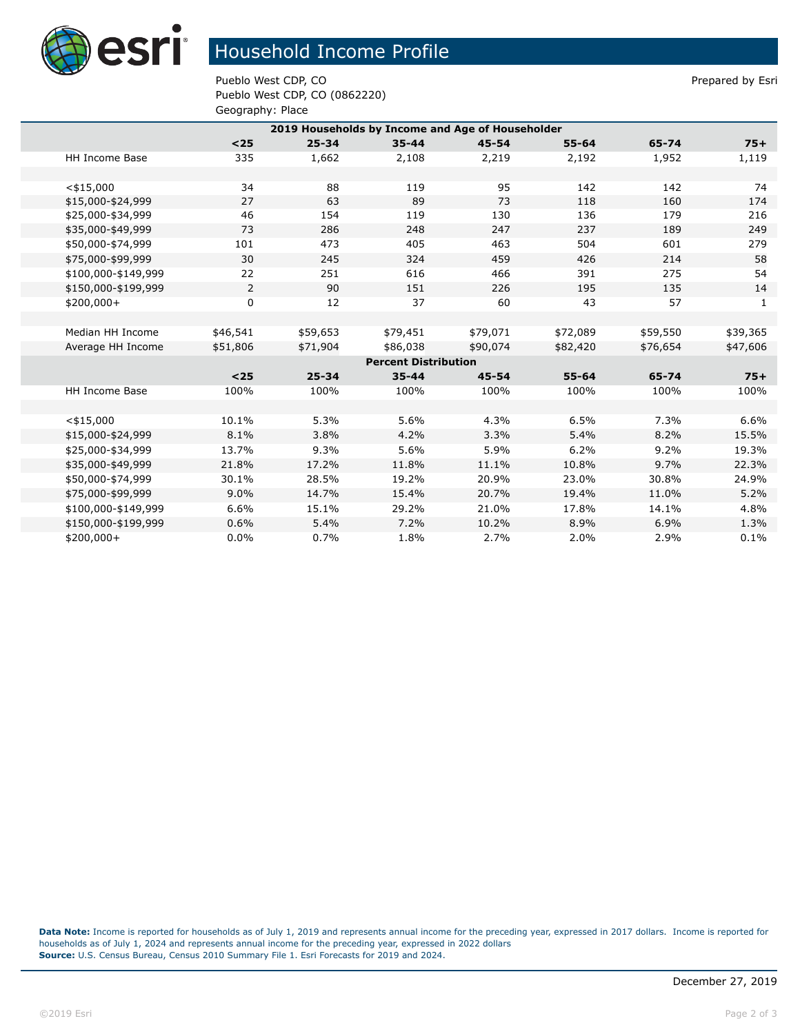

## Household Income Profile

Pueblo West CDP, CO **Prepared by Estimate Prepared by Estimate Prepared by Estimate Prepared by Estimate Prepared by Estimate Prepared by Estimate Prepared by Estimate Prepared by Estimate Prepared by Estimate Prepared by** Pueblo West CDP, CO (0862220) Geography: Place

|                             | 2019 Households by Income and Age of Householder |          |           |           |           |           |          |          |  |
|-----------------------------|--------------------------------------------------|----------|-----------|-----------|-----------|-----------|----------|----------|--|
|                             |                                                  | $25$     | $25 - 34$ | $35 - 44$ | $45 - 54$ | 55-64     | 65-74    | $75+$    |  |
|                             | <b>HH Income Base</b>                            | 335      | 1,662     | 2,108     | 2,219     | 2,192     | 1,952    | 1,119    |  |
|                             |                                                  |          |           |           |           |           |          |          |  |
|                             | $<$ \$15,000                                     | 34       | 88        | 119       | 95        | 142       | 142      | 74       |  |
|                             | \$15,000-\$24,999                                | 27       | 63        | 89        | 73        | 118       | 160      | 174      |  |
|                             | \$25,000-\$34,999                                | 46       | 154       | 119       | 130       | 136       | 179      | 216      |  |
|                             | \$35,000-\$49,999                                | 73       | 286       | 248       | 247       | 237       | 189      | 249      |  |
|                             | \$50,000-\$74,999                                | 101      | 473       | 405       | 463       | 504       | 601      | 279      |  |
|                             | \$75,000-\$99,999                                | 30       | 245       | 324       | 459       | 426       | 214      | 58       |  |
|                             | \$100,000-\$149,999                              | 22       | 251       | 616       | 466       | 391       | 275      | 54       |  |
|                             | \$150,000-\$199,999                              | 2        | 90        | 151       | 226       | 195       | 135      | 14       |  |
|                             | $$200,000+$                                      | 0        | 12        | 37        | 60        | 43        | 57       | 1        |  |
|                             |                                                  |          |           |           |           |           |          |          |  |
|                             | Median HH Income                                 | \$46,541 | \$59,653  | \$79,451  | \$79,071  | \$72,089  | \$59,550 | \$39,365 |  |
|                             | Average HH Income                                | \$51,806 | \$71,904  | \$86,038  | \$90,074  | \$82,420  | \$76,654 | \$47,606 |  |
| <b>Percent Distribution</b> |                                                  |          |           |           |           |           |          |          |  |
|                             |                                                  | $25$     | $25 - 34$ | $35 - 44$ | $45 - 54$ | $55 - 64$ | 65-74    | $75+$    |  |
|                             | <b>HH Income Base</b>                            | 100%     | 100%      | 100%      | 100%      | 100%      | 100%     | 100%     |  |
|                             |                                                  |          |           |           |           |           |          |          |  |
|                             | $<$ \$15,000                                     | 10.1%    | 5.3%      | 5.6%      | 4.3%      | 6.5%      | 7.3%     | 6.6%     |  |
|                             | \$15,000-\$24,999                                | 8.1%     | 3.8%      | 4.2%      | 3.3%      | 5.4%      | 8.2%     | 15.5%    |  |
|                             | \$25,000-\$34,999                                | 13.7%    | 9.3%      | 5.6%      | 5.9%      | 6.2%      | 9.2%     | 19.3%    |  |
|                             | \$35,000-\$49,999                                | 21.8%    | 17.2%     | 11.8%     | 11.1%     | 10.8%     | 9.7%     | 22.3%    |  |
|                             | \$50,000-\$74,999                                | 30.1%    | 28.5%     | 19.2%     | 20.9%     | 23.0%     | 30.8%    | 24.9%    |  |
|                             | \$75,000-\$99,999                                | 9.0%     | 14.7%     | 15.4%     | 20.7%     | 19.4%     | 11.0%    | 5.2%     |  |
|                             | \$100,000-\$149,999                              | 6.6%     | 15.1%     | 29.2%     | 21.0%     | 17.8%     | 14.1%    | 4.8%     |  |
|                             | \$150,000-\$199,999                              | 0.6%     | 5.4%      | 7.2%      | 10.2%     | 8.9%      | 6.9%     | 1.3%     |  |
|                             | $$200,000+$                                      | 0.0%     | 0.7%      | 1.8%      | 2.7%      | 2.0%      | 2.9%     | 0.1%     |  |

**Data Note:** Income is reported for households as of July 1, 2019 and represents annual income for the preceding year, expressed in 2017 dollars. Income is reported for households as of July 1, 2024 and represents annual income for the preceding year, expressed in 2022 dollars **Source:** U.S. Census Bureau, Census 2010 Summary File 1. Esri Forecasts for 2019 and 2024.